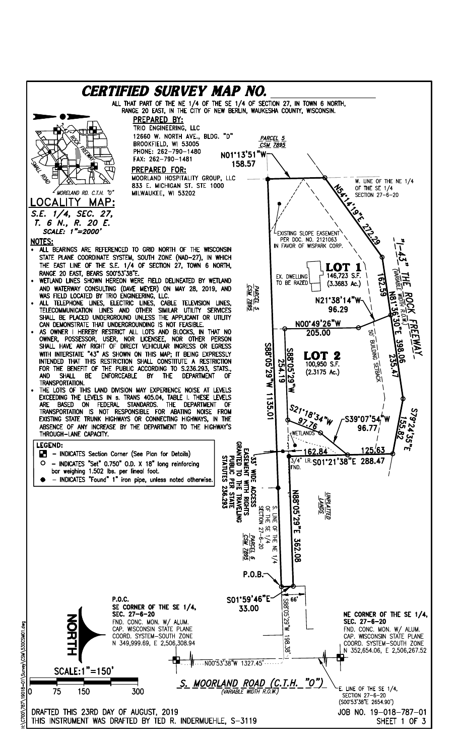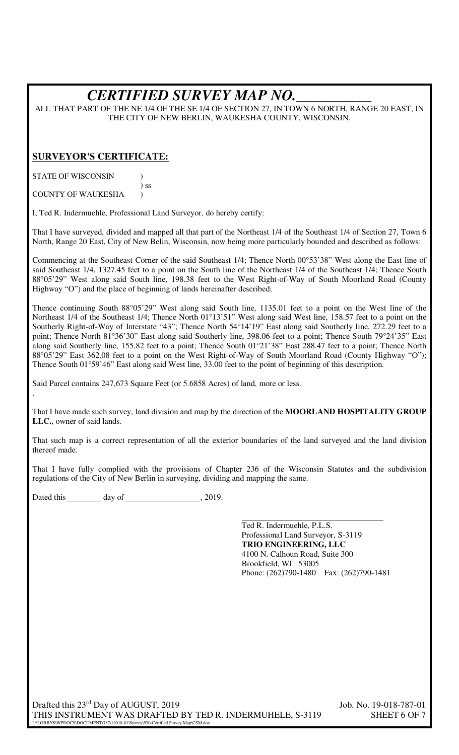# *CERTIFIED SURVEY MAP NO.\_\_\_\_\_\_\_\_\_\_*

ALL THAT PART OF THE NE 1/4 OF THE SE 1/4 OF SECTION 27, IN TOWN 6 NORTH, RANGE 20 EAST, IN THE CITY OF NEW BERLIN, WAUKESHA COUNTY, WISCONSIN.

### **SURVEYOR'S CERTIFICATE:**

STATE OF WISCONSIN (1)

 ) ss COUNTY OF WAUKESHA (1)

.

I, Ted R. Indermuehle, Professional Land Surveyor, do hereby certify:

That I have surveyed, divided and mapped all that part of the Northeast 1/4 of the Southeast 1/4 of Section 27, Town 6 North, Range 20 East, City of New Belin, Wisconsin, now being more particularly bounded and described as follows:

Commencing at the Southeast Corner of the said Southeast 1/4; Thence North 00°53'38" West along the East line of said Southeast 1/4, 1327.45 feet to a point on the South line of the Northeast 1/4 of the Southeast 1/4; Thence South 88°05'29" West along said South line, 198.38 feet to the West Right-of-Way of South Moorland Road (County Highway "O") and the place of beginning of lands hereinafter described;

Thence continuing South 88°05'29" West along said South line, 1135.01 feet to a point on the West line of the Northeast 1/4 of the Southeast 1/4; Thence North 01°13'51" West along said West line, 158.57 feet to a point on the Southerly Right-of-Way of Interstate "43"; Thence North 54°14'19" East along said Southerly line, 272.29 feet to a point; Thence North 81°36'30" East along said Southerly line, 398.06 feet to a point; Thence South 79°24'35" East along said Southerly line, 155.82 feet to a point; Thence South 01°21'38" East 288.47 feet to a point; Thence North 88°05'29" East 362.08 feet to a point on the West Right-of-Way of South Moorland Road (County Highway "O"); Thence South 01°59'46" East along said West line, 33.00 feet to the point of beginning of this description.

Said Parcel contains 247,673 Square Feet (or 5.6858 Acres) of land, more or less.

That I have made such survey, land division and map by the direction of the **MOORLAND HOSPITALITY GROUP LLC.**, owner of said lands.

That such map is a correct representation of all the exterior boundaries of the land surveyed and the land division thereof made.

That I have fully complied with the provisions of Chapter 236 of the Wisconsin Statutes and the subdivision regulations of the City of New Berlin in surveying, dividing and mapping the same.

Dated this day of  $\frac{2019}{1000}$ , 2019.

Ted R. Indermuehle, P.L.S. Professional Land Surveyor, S-3119 **TRIO ENGINEERING, LLC**  4100 N. Calhoun Road, Suite 300 Brookfield, WI 53005 Phone: (262)790-1480 Fax: (262)790-1481

Drafted this 23<sup>rd</sup> Day of AUGUST, 2019 Job. No. 19-018-787-01 THIS INSTRUMENT WAS DRAFTED BY TED R. INDERMUHELE, S-3119 SHEET 6 OF 7 L:\LOBBYS\WPDOCS\DOCUMENT\787\19018-01\Survey\530-Certified Survey Map\CSM.doc